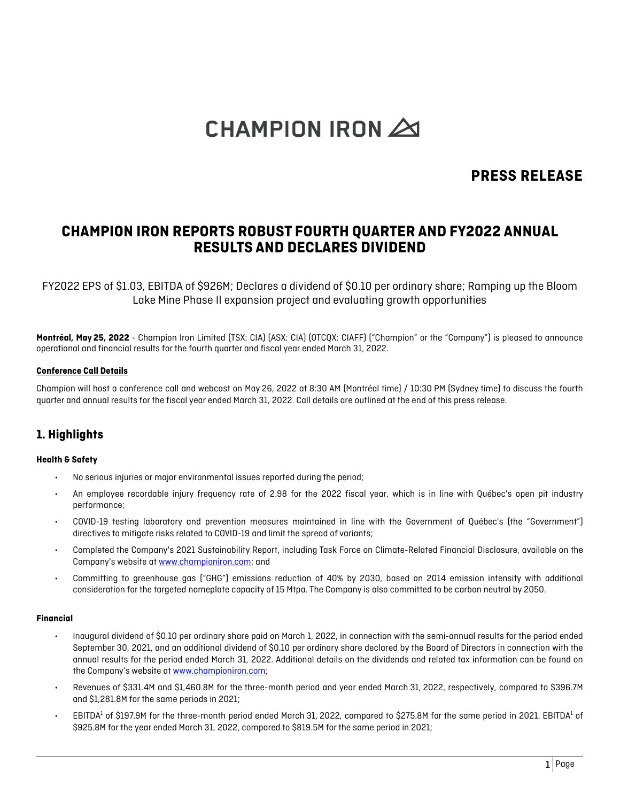# CHAMPION IRON  $\triangle$

# **PRESS RELEASE**

# **CHAMPION IRON REPORTS ROBUST FOURTH QUARTER AND FY2022 ANNUAL RESULTS AND DECLARES DIVIDEND**

FY2022 EPS of \$1.03, EBITDA of \$926M; Declares a dividend of \$0.10 per ordinary share; Ramping up the Bloom Lake Mine Phase II expansion project and evaluating growth opportunities

**Montréal, May 25, 2022** - Champion Iron Limited (TSX: CIA) (ASX: CIA) (OTCQX: CIAFF) ("Champion" or the "Company") is pleased to announce operational and financial results for the fourth quarter and fiscal year ended March 31, 2022.

#### **Conference Call Details**

Champion will host a conference call and webcast on May 26, 2022 at 8:30 AM (Montréal time) / 10:30 PM (Sydney time) to discuss the fourth quarter and annual results for the fiscal year ended March 31, 2022. Call details are outlined at the end of this press release.

# **1. Highlights**

#### **Health & Safety**

- No serious injuries or major environmental issues reported during the period;
- An employee recordable injury frequency rate of 2.98 for the 2022 fiscal year, which is in line with Québec's open pit industry performance;
- COVID-19 testing laboratory and prevention measures maintained in line with the Government of Québec's (the "Government") directives to mitigate risks related to COVID-19 and limit the spread of variants;
- Completed the Company's 2021 Sustainability Report, including Task Force on Climate-Related Financial Disclosure, available on the Company's website a[t www.championiron.com;](http://www.championiron.com/) and
- Committing to greenhouse gas ("GHG") emissions reduction of 40% by 2030, based on 2014 emission intensity with additional consideration for the targeted nameplate capacity of 15 Mtpa. The Company is also committed to be carbon neutral by 2050.

#### **Financial**

- Inaugural dividend of \$0.10 per ordinary share paid on March 1, 2022, in connection with the semi-annual results for the period ended September 30, 2021, and an additional dividend of \$0.10 per ordinary share declared by the Board of Directors in connection with the annual results for the period ended March 31, 2022. Additional details on the dividends and related tax information can be found on the Company's website at [www.championiron.com;](http://www.championiron.com/)
- Revenues of \$331.4M and \$1,460.8M for the three-month period and year ended March 31, 2022, respectively, compared to \$396.7M and \$1,281.8M for the same periods in 2021;
- EBITDA<sup>1</sup> of \$197.9M for the three-month period ended March 31, 2022, compared to \$275.8M for the same period in 2021. EBITDA<sup>1</sup> of \$925.8M for the year ended March 31, 2022, compared to \$819.5M for the same period in 2021;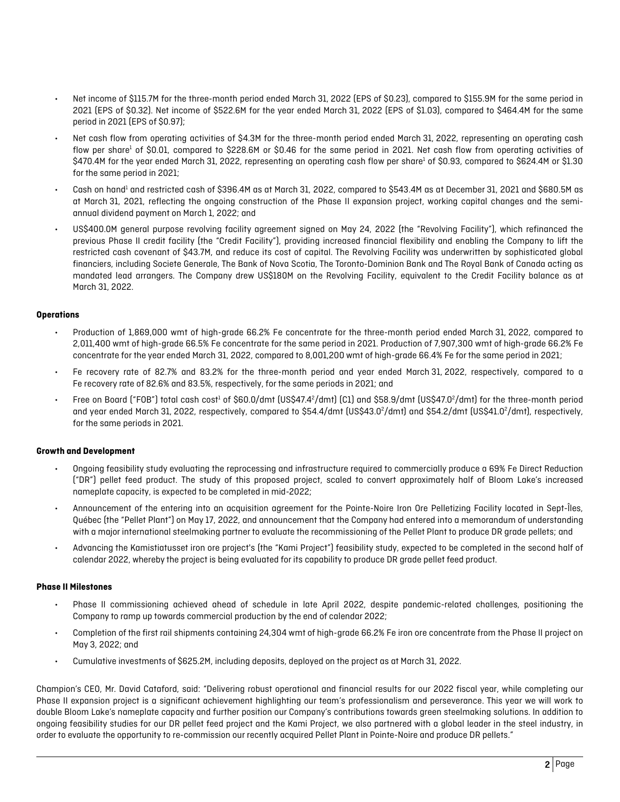- Net income of \$115.7M for the three-month period ended March 31, 2022 (EPS of \$0.23), compared to \$155.9M for the same period in 2021 (EPS of \$0.32). Net income of \$522.6M for the year ended March 31, 2022 (EPS of \$1.03), compared to \$464.4M for the same period in 2021 (EPS of \$0.97);
- Net cash flow from operating activities of \$4.3M for the three-month period ended March 31, 2022, representing an operating cash flow per share<sup>1</sup> of \$0.01, compared to \$228.6M or \$0.46 for the same period in 2021. Net cash flow from operating activities of \$470.4M for the year ended March 31, 2022, representing an operating cash flow per share1 of \$0.93, compared to \$624.4M or \$1.30 for the same period in 2021;
- Cash on hand<sup>1</sup> and restricted cash of \$396.4M as at March 31, 2022, compared to \$543.4M as at December 31, 2021 and \$680.5M as at March 31, 2021, reflecting the ongoing construction of the Phase II expansion project, working capital changes and the semiannual dividend payment on March 1, 2022; and
- US\$400.0M general purpose revolving facility agreement signed on May 24, 2022 (the "Revolving Facility"), which refinanced the previous Phase II credit facility (the "Credit Facility"), providing increased financial flexibility and enabling the Company to lift the restricted cash covenant of \$43.7M, and reduce its cost of capital. The Revolving Facility was underwritten by sophisticated global financiers, including Societe Generale, The Bank of Nova Scotia, The Toronto-Dominion Bank and The Royal Bank of Canada acting as mandated lead arrangers. The Company drew US\$180M on the Revolving Facility, equivalent to the Credit Facility balance as at March 31, 2022.

#### **Operations**

- Production of 1,869,000 wmt of high-grade 66.2% Fe concentrate for the three-month period ended March 31, 2022, compared to 2,011,400 wmt of high-grade 66.5% Fe concentrate for the same period in 2021. Production of 7,907,300 wmt of high-grade 66.2% Fe concentrate for the year ended March 31, 2022, compared to 8,001,200 wmt of high-grade 66.4% Fe for the same period in 2021;
- Fe recovery rate of 82.7% and 83.2% for the three-month period and year ended March 31, 2022, respectively, compared to a Fe recovery rate of 82.6% and 83.5%, respectively, for the same periods in 2021; and
- Free on Board ("FOB") total cash cost<sup>1</sup> of \$60.0/dmt (US\$47.4<sup>2</sup>/dmt) [C1] and \$58.9/dmt (US\$47.0<sup>2</sup>/dmt) for the three-month period and year ended March 31, 2022, respectively, compared to \$54.4/dmt (US\$43.0<sup>2</sup>/dmt) and \$54.2/dmt (US\$41.0<sup>2</sup>/dmt), respectively, for the same periods in 2021.

#### **Growth and Development**

- Ongoing feasibility study evaluating the reprocessing and infrastructure required to commercially produce a 69% Fe Direct Reduction ("DR") pellet feed product. The study of this proposed project, scaled to convert approximately half of Bloom Lake's increased nameplate capacity, is expected to be completed in mid-2022;
- Announcement of the entering into an acquisition agreement for the Pointe-Noire Iron Ore Pelletizing Facility located in Sept-Îles, Québec (the "Pellet Plant") on May 17, 2022, and announcement that the Company had entered into a memorandum of understanding with a major international steelmaking partner to evaluate the recommissioning of the Pellet Plant to produce DR grade pellets; and
- Advancing the Kamistiatusset iron ore project's (the "Kami Project") feasibility study, expected to be completed in the second half of calendar 2022, whereby the project is being evaluated for its capability to produce DR grade pellet feed product.

#### **Phase II Milestones**

- Phase II commissioning achieved ahead of schedule in late April 2022, despite pandemic-related challenges, positioning the Company to ramp up towards commercial production by the end of calendar 2022;
- Completion of the first rail shipments containing 24,304 wmt of high-grade 66.2% Fe iron ore concentrate from the Phase II project on May 3, 2022; and
- Cumulative investments of \$625.2M, including deposits, deployed on the project as at March 31, 2022.

Champion's CEO, Mr. David Cataford, said: "Delivering robust operational and financial results for our 2022 fiscal year, while completing our Phase II expansion project is a significant achievement highlighting our team's professionalism and perseverance. This year we will work to double Bloom Lake's nameplate capacity and further position our Company's contributions towards green steelmaking solutions. In addition to ongoing feasibility studies for our DR pellet feed project and the Kami Project, we also partnered with a global leader in the steel industry, in order to evaluate the opportunity to re-commission our recently acquired Pellet Plant in Pointe-Noire and produce DR pellets."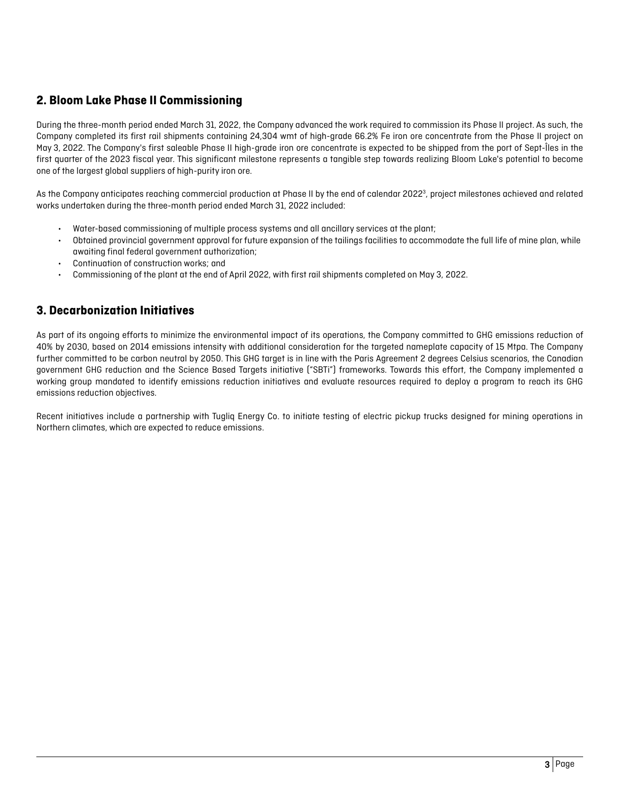# **2. Bloom Lake Phase II Commissioning**

During the three-month period ended March 31, 2022, the Company advanced the work required to commission its Phase II project. As such, the Company completed its first rail shipments containing 24,304 wmt of high-grade 66.2% Fe iron ore concentrate from the Phase II project on May 3, 2022. The Company's first saleable Phase II high-grade iron ore concentrate is expected to be shipped from the port of Sept-Îles in the first quarter of the 2023 fiscal year. This significant milestone represents a tangible step towards realizing Bloom Lake's potential to become one of the largest global suppliers of high-purity iron ore.

As the Company anticipates reaching commercial production at Phase II by the end of calendar 2022<sup>3</sup>, project milestones achieved and related works undertaken during the three-month period ended March 31, 2022 included:

- Water-based commissioning of multiple process systems and all ancillary services at the plant;
- Obtained provincial government approval for future expansion of the tailings facilities to accommodate the full life of mine plan, while awaiting final federal government authorization;
- Continuation of construction works; and
- Commissioning of the plant at the end of April 2022, with first rail shipments completed on May 3, 2022.

# **3. Decarbonization Initiatives**

As part of its ongoing efforts to minimize the environmental impact of its operations, the Company committed to GHG emissions reduction of 40% by 2030, based on 2014 emissions intensity with additional consideration for the targeted nameplate capacity of 15 Mtpa. The Company further committed to be carbon neutral by 2050. This GHG target is in line with the Paris Agreement 2 degrees Celsius scenarios, the Canadian government GHG reduction and the Science Based Targets initiative ("SBTi") frameworks. Towards this effort, the Company implemented a working group mandated to identify emissions reduction initiatives and evaluate resources required to deploy a program to reach its GHG emissions reduction objectives.

Recent initiatives include a partnership with Tugliq Energy Co. to initiate testing of electric pickup trucks designed for mining operations in Northern climates, which are expected to reduce emissions.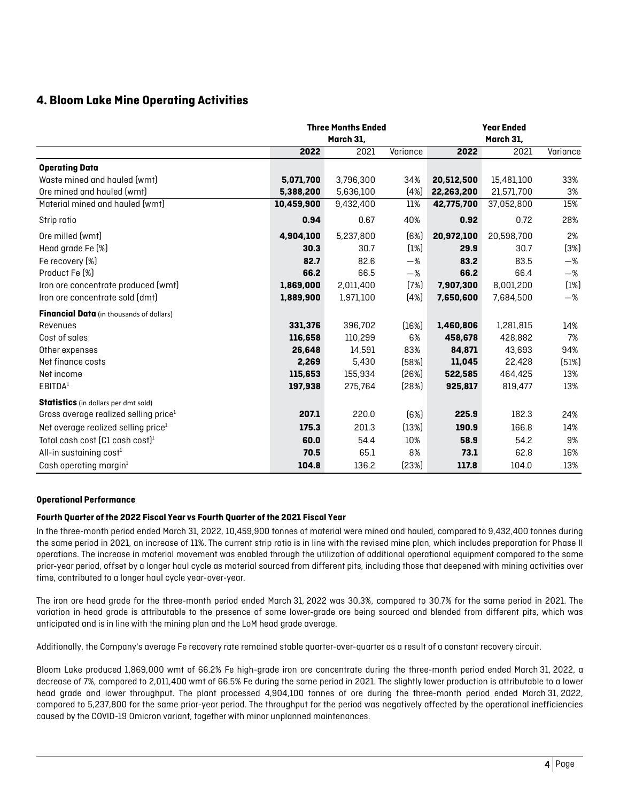# **4. Bloom Lake Mine Operating Activities**

|                                                 | <b>Three Months Ended</b><br>March 31, |           |          | <b>Year Ended</b><br>March 31, |            |          |  |
|-------------------------------------------------|----------------------------------------|-----------|----------|--------------------------------|------------|----------|--|
|                                                 | 2022                                   | 2021      | Variance | 2022                           | 2021       | Variance |  |
| <b>Operating Data</b>                           |                                        |           |          |                                |            |          |  |
| Waste mined and hauled (wmt)                    | 5,071,700                              | 3,796,300 | 34%      | 20,512,500                     | 15,481,100 | 33%      |  |
| Ore mined and hauled (wmt)                      | 5,388,200                              | 5,636,100 | (4%)     | 22,263,200                     | 21,571,700 | 3%       |  |
| Material mined and hauled (wmt)                 | 10,459,900                             | 9,432,400 | 11%      | 42,775,700                     | 37,052,800 | 15%      |  |
| Strip ratio                                     | 0.94                                   | 0.67      | 40%      | 0.92                           | 0.72       | 28%      |  |
| Ore milled (wmt)                                | 4,904,100                              | 5,237,800 | (6%)     | 20,972,100                     | 20,598,700 | 2%       |  |
| Head grade Fe (%)                               | 30.3                                   | 30.7      | (1%)     | 29.9                           | 30.7       | (3%)     |  |
| Fe recovery [%]                                 | 82.7                                   | 82.6      | $-\%$    | 83.2                           | 83.5       | $-\%$    |  |
| Product Fe [%]                                  | 66.2                                   | 66.5      | $-\%$    | 66.2                           | 66.4       | $-\%$    |  |
| Iron ore concentrate produced (wmt)             | 1,869,000                              | 2,011,400 | (7%)     | 7,907,300                      | 8,001,200  | (1%)     |  |
| Iron ore concentrate sold (dmt)                 | 1,889,900                              | 1,971,100 | [4%]     | 7,650,600                      | 7,684,500  | $-\%$    |  |
| <b>Financial Data</b> (in thousands of dollars) |                                        |           |          |                                |            |          |  |
| Revenues                                        | 331,376                                | 396,702   | (16%)    | 1,460,806                      | 1,281,815  | 14%      |  |
| Cost of sales                                   | 116,658                                | 110,299   | 6%       | 458,678                        | 428,882    | 7%       |  |
| Other expenses                                  | 26,648                                 | 14,591    | 83%      | 84.871                         | 43,693     | 94%      |  |
| Net finance costs                               | 2,269                                  | 5,430     | (58%)    | 11,045                         | 22.428     | (51%)    |  |
| Net income                                      | 115,653                                | 155,934   | [26%]    | 522,585                        | 464,425    | 13%      |  |
| EBITDA <sup>1</sup>                             | 197,938                                | 275,764   | (28%)    | 925,817                        | 819,477    | 13%      |  |
| Statistics (in dollars per dmt sold)            |                                        |           |          |                                |            |          |  |
| Gross average realized selling price            | 207.1                                  | 220.0     | (6%)     | 225.9                          | 182.3      | 24%      |  |
| Net average realized selling price <sup>1</sup> | 175.3                                  | 201.3     | (13%)    | 190.9                          | 166.8      | 14%      |  |
| Total cash cost $[CI \text{ cash cost}]^1$      | 60.0                                   | 54.4      | 10%      | 58.9                           | 54.2       | 9%       |  |
| All-in sustaining $cost1$                       | 70.5                                   | 65.1      | 8%       | 73.1                           | 62.8       | 16%      |  |
| Cash operating margin $1$                       | 104.8                                  | 136.2     | [23%]    | 117.8                          | 104.0      | 13%      |  |

#### **Operational Performance**

#### **Fourth Quarter of the 2022 Fiscal Year vs Fourth Quarter of the 2021 Fiscal Year**

In the three-month period ended March 31, 2022, 10,459,900 tonnes of material were mined and hauled, compared to 9,432,400 tonnes during the same period in 2021, an increase of 11%. The current strip ratio is in line with the revised mine plan, which includes preparation for Phase II operations. The increase in material movement was enabled through the utilization of additional operational equipment compared to the same prior-year period, offset by a longer haul cycle as material sourced from different pits, including those that deepened with mining activities over time, contributed to a longer haul cycle year-over-year.

The iron ore head grade for the three-month period ended March 31, 2022 was 30.3%, compared to 30.7% for the same period in 2021. The variation in head grade is attributable to the presence of some lower-grade ore being sourced and blended from different pits, which was anticipated and is in line with the mining plan and the LoM head grade average.

Additionally, the Company's average Fe recovery rate remained stable quarter-over-quarter as a result of a constant recovery circuit.

Bloom Lake produced 1,869,000 wmt of 66.2% Fe high-grade iron ore concentrate during the three-month period ended March 31, 2022, a decrease of 7%, compared to 2,011,400 wmt of 66.5% Fe during the same period in 2021. The slightly lower production is attributable to a lower head grade and lower throughput. The plant processed 4,904,100 tonnes of ore during the three-month period ended March 31, 2022, compared to 5,237,800 for the same prior-year period. The throughput for the period was negatively affected by the operational inefficiencies caused by the COVID-19 Omicron variant, together with minor unplanned maintenances.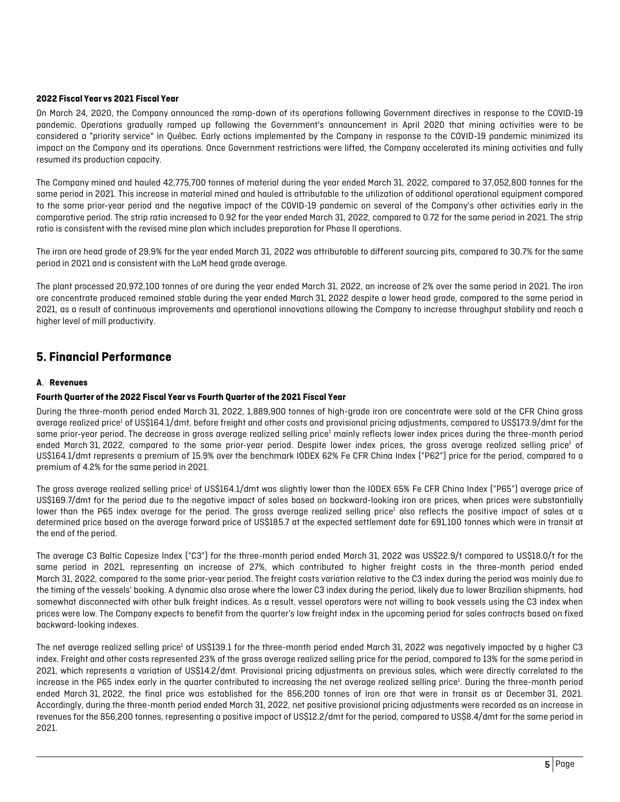#### **2022 Fiscal Year vs 2021 Fiscal Year**

On March 24, 2020, the Company announced the ramp-down of its operations following Government directives in response to the COVID-19 pandemic. Operations gradually ramped up following the Government's announcement in April 2020 that mining activities were to be considered a "priority service" in Québec. Early actions implemented by the Company in response to the COVID-19 pandemic minimized its impact on the Company and its operations. Once Government restrictions were lifted, the Company accelerated its mining activities and fully resumed its production capacity.

The Company mined and hauled 42,775,700 tonnes of material during the year ended March 31, 2022, compared to 37,052,800 tonnes for the same period in 2021. This increase in material mined and hauled is attributable to the utilization of additional operational equipment compared to the same prior-year period and the negative impact of the COVID-19 pandemic on several of the Company's other activities early in the comparative period. The strip ratio increased to 0.92 for the year ended March 31, 2022, compared to 0.72 for the same period in 2021. The strip ratio is consistent with the revised mine plan which includes preparation for Phase II operations.

The iron ore head grade of 29.9% for the year ended March 31, 2022 was attributable to different sourcing pits, compared to 30.7% for the same period in 2021 and is consistent with the LoM head grade average.

The plant processed 20,972,100 tonnes of ore during the year ended March 31, 2022, an increase of 2% over the same period in 2021. The iron ore concentrate produced remained stable during the year ended March 31, 2022 despite a lower head grade, compared to the same period in 2021, as a result of continuous improvements and operational innovations allowing the Company to increase throughput stability and reach a higher level of mill productivity.

# **5. Financial Performance**

#### **A**. **Revenues**

#### **Fourth Quarter of the 2022 Fiscal Year vs Fourth Quarter of the 2021 Fiscal Year**

During the three-month period ended March 31, 2022, 1,889,900 tonnes of high-grade iron ore concentrate were sold at the CFR China gross average realized price<sup>1</sup> of US\$164.1/dmt, before freight and other costs and provisional pricing adjustments, compared to US\$173.9/dmt for the same prior-year period. The decrease in gross average realized selling price<sup>1</sup> mainly reflects lower index prices during the three-month period ended March 31, 2022, compared to the same prior-year period. Despite lower index prices, the gross average realized selling price<sup>1</sup> of US\$164.1/dmt represents a premium of 15.9% over the benchmark IODEX 62% Fe CFR China Index ("P62") price for the period, compared to a premium of 4.2% for the same period in 2021.

The gross average realized selling price<sup>1</sup> of US\$164.1/dmt was slightly lower than the IODEX 65% Fe CFR China Index ("P65") average price of US\$169.7/dmt for the period due to the negative impact of sales based on backward-looking iron ore prices, when prices were substantially lower than the P65 index average for the period. The gross average realized selling price<sup>1</sup> also reflects the positive impact of sales at a determined price based on the average forward price of US\$185.7 at the expected settlement date for 691,100 tonnes which were in transit at the end of the period.

The average C3 Baltic Capesize Index ("C3") for the three-month period ended March 31, 2022 was US\$22.9/t compared to US\$18.0/t for the same period in 2021, representing an increase of 27%, which contributed to higher freight costs in the three-month period ended March 31, 2022, compared to the same prior-year period. The freight costs variation relative to the C3 index during the period was mainly due to the timing of the vessels' booking. A dynamic also arose where the lower C3 index during the period, likely due to lower Brazilian shipments, had somewhat disconnected with other bulk freight indices. As a result, vessel operators were not willing to book vessels using the C3 index when prices were low. The Company expects to benefit from the quarter's low freight index in the upcoming period for sales contracts based on fixed backward-looking indexes.

The net average realized selling price<sup>1</sup> of US\$139.1 for the three-month period ended March 31, 2022 was negatively impacted by a higher C3 index. Freight and other costs represented 23% of the gross average realized selling price for the period, compared to 13% for the same period in 2021, which represents a variation of US\$14.2/dmt. Provisional pricing adjustments on previous sales, which were directly correlated to the increase in the P65 index early in the quarter contributed to increasing the net average realized selling price<sup>1</sup>. During the three-month period ended March 31, 2022, the final price was established for the 856,200 tonnes of iron ore that were in transit as at December 31, 2021. Accordingly, during the three-month period ended March 31, 2022, net positive provisional pricing adjustments were recorded as an increase in revenues for the 856,200 tonnes, representing a positive impact of US\$12.2/dmt for the period, compared to US\$8.4/dmt for the same period in 2021.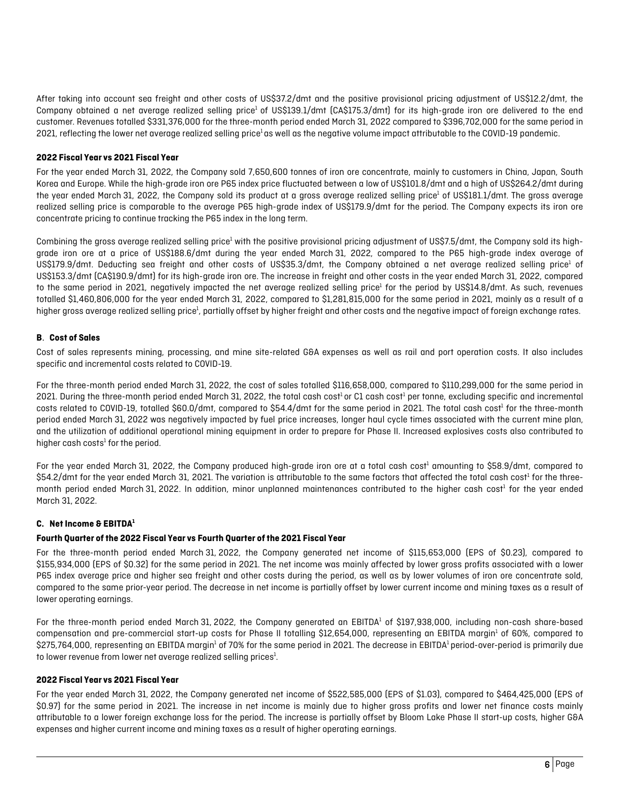After taking into account sea freight and other costs of US\$37.2/dmt and the positive provisional pricing adjustment of US\$12.2/dmt, the Company obtained a net average realized selling price<sup>1</sup> of US\$139.1/dmt (CA\$175.3/dmt) for its high-grade iron ore delivered to the end customer. Revenues totalled \$331,376,000 for the three-month period ended March 31, 2022 compared to \$396,702,000 for the same period in 2021, reflecting the lower net average realized selling price<sup>1</sup> as well as the negative volume impact attributable to the COVID-19 pandemic.

#### **2022 Fiscal Year vs 2021 Fiscal Year**

For the year ended March 31, 2022, the Company sold 7,650,600 tonnes of iron ore concentrate, mainly to customers in China, Japan, South Korea and Europe. While the high-grade iron ore P65 index price fluctuated between a low of US\$101.8/dmt and a high of US\$264.2/dmt during the year ended March 31, 2022, the Company sold its product at a gross average realized selling price<sup>1</sup> of US\$181.1/dmt. The gross average realized selling price is comparable to the average P65 high-grade index of US\$179.9/dmt for the period. The Company expects its iron ore concentrate pricing to continue tracking the P65 index in the long term.

Combining the gross average realized selling price<sup>1</sup> with the positive provisional pricing adjustment of US\$7.5/dmt, the Company sold its highgrade iron ore at a price of US\$188.6/dmt during the year ended March 31, 2022, compared to the P65 high-grade index average of US\$179.9/dmt. Deducting sea freight and other costs of US\$35.3/dmt, the Company obtained a net average realized selling price<sup>1</sup> of US\$153.3/dmt (CA\$190.9/dmt) for its high-grade iron ore. The increase in freight and other costs in the year ended March 31, 2022, compared to the same period in 2021, negatively impacted the net average realized selling price<sup>1</sup> for the period by US\$14.8/dmt. As such, revenues totalled \$1,460,806,000 for the year ended March 31, 2022, compared to \$1,281,815,000 for the same period in 2021, mainly as a result of a higher gross average realized selling price<sup>1</sup>, partially offset by higher freight and other costs and the negative impact of foreign exchange rates.

#### **B**. **Cost of Sales**

Cost of sales represents mining, processing, and mine site-related G&A expenses as well as rail and port operation costs. It also includes specific and incremental costs related to COVID-19.

For the three-month period ended March 31, 2022, the cost of sales totalled \$116,658,000, compared to \$110,299,000 for the same period in 2021. During the three-month period ended March 31, 2022, the total cash cost<sup>1</sup> or C1 cash cost<sup>1</sup> per tonne, excluding specific and incremental costs related to COVID-19, totalled \$60.0/dmt, compared to \$54.4/dmt for the same period in 2021. The total cash cost<sup>1</sup> for the three-month period ended March 31, 2022 was negatively impacted by fuel price increases, longer haul cycle times associated with the current mine plan, and the utilization of additional operational mining equipment in order to prepare for Phase II. Increased explosives costs also contributed to higher cash costs $1$  for the period.

For the year ended March 31, 2022, the Company produced high-grade iron ore at a total cash cost<sup>1</sup> amounting to \$58.9/dmt, compared to \$54.2/dmt for the year ended March 31, 2021. The variation is attributable to the same factors that affected the total cash cost<sup>1</sup> for the threemonth period ended March 31, 2022. In addition, minor unplanned maintenances contributed to the higher cash cost<sup>1</sup> for the year ended March 31, 2022.

#### **C. Net Income & EBITDA1**

#### **Fourth Quarter of the 2022 Fiscal Year vs Fourth Quarter of the 2021 Fiscal Year**

For the three-month period ended March 31, 2022, the Company generated net income of \$115,653,000 (EPS of \$0.23), compared to \$155,934,000 (EPS of \$0.32) for the same period in 2021. The net income was mainly affected by lower gross profits associated with a lower P65 index average price and higher sea freight and other costs during the period, as well as by lower volumes of iron ore concentrate sold, compared to the same prior-year period. The decrease in net income is partially offset by lower current income and mining taxes as a result of lower operating earnings.

For the three-month period ended March 31, 2022, the Company generated an EBITDA<sup>1</sup> of \$197,938,000, including non-cash share-based compensation and pre-commercial start-up costs for Phase II totalling \$12,654,000, representing an EBITDA margin<sup>1</sup> of 60%, compared to \$275,764,000, representing an EBITDA margin<sup>1</sup> of 70% for the same period in 2021. The decrease in EBITDA<sup>1</sup> period-over-period is primarily due to lower revenue from lower net average realized selling prices $^{\rm l}$ .

#### **2022 Fiscal Year vs 2021 Fiscal Year**

For the year ended March 31, 2022, the Company generated net income of \$522,585,000 (EPS of \$1.03), compared to \$464,425,000 (EPS of \$0.97) for the same period in 2021. The increase in net income is mainly due to higher gross profits and lower net finance costs mainly attributable to a lower foreign exchange loss for the period. The increase is partially offset by Bloom Lake Phase II start-up costs, higher G&A expenses and higher current income and mining taxes as a result of higher operating earnings.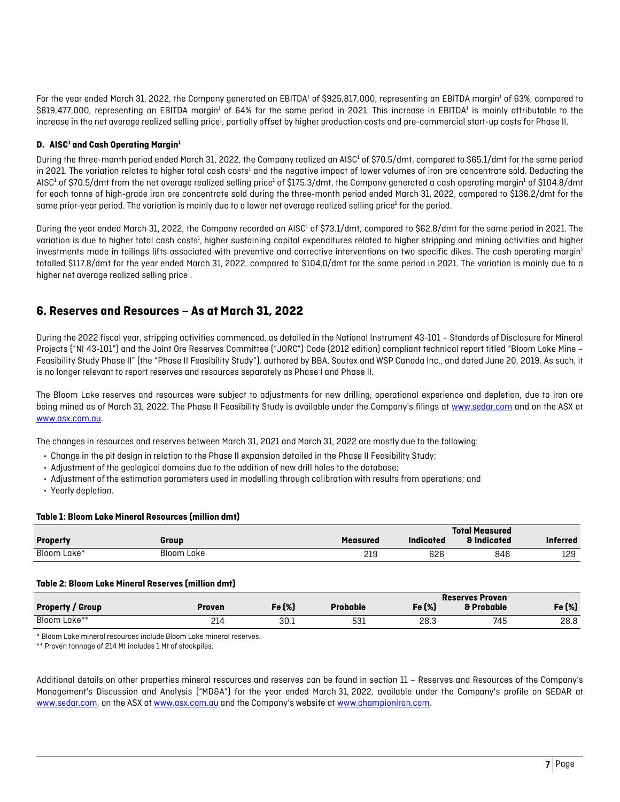For the year ended March 31, 2022, the Company generated an EBITDA<sup>1</sup> of \$925,817,000, representing an EBITDA margin<sup>1</sup> of 63%, compared to \$819,477,000, representing an EBITDA margin<sup>1</sup> of 64% for the same period in 2021. This increase in EBITDA<sup>1</sup> is mainly attributable to the increase in the net average realized selling price<sup>1</sup>, partially offset by higher production costs and pre-commercial start-up costs for Phase II.

#### **D.** AISC<sup>1</sup> and Cash Operating Margin<sup>1</sup>

During the three-month period ended March 31, 2022, the Company realized an AISC<sup>1</sup> of \$70.5/dmt, compared to \$65.1/dmt for the same period in 2021. The variation relates to higher total cash costs<sup>1</sup> and the negative impact of lower volumes of iron ore concentrate sold. Deducting the AISC<sup>1</sup> of \$70.5/dmt from the net average realized selling price<sup>1</sup> of \$175.3/dmt, the Company generated a cash operating margin<sup>1</sup> of \$104.8/dmt for each tonne of high-grade iron ore concentrate sold during the three-month period ended March 31, 2022, compared to \$136.2/dmt for the same prior-year period. The variation is mainly due to a lower net average realized selling price $1$  for the period.

During the year ended March 31, 2022, the Company recorded an AISC<sup>1</sup> of \$73.1/dmt, compared to \$62.8/dmt for the same period in 2021. The variation is due to higher total cash costs<sup>1</sup>, higher sustaining capital expenditures related to higher stripping and mining activities and higher investments made in tailings lifts associated with preventive and corrective interventions on two specific dikes. The cash operating margin<sup>1</sup> totalled \$117.8/dmt for the year ended March 31, 2022, compared to \$104.0/dmt for the same period in 2021. The variation is mainly due to a higher net average realized selling price $^{\text{1}}$ .

# **6. Reserves and Resources – As at March 31, 2022**

During the 2022 fiscal year, stripping activities commenced, as detailed in the National Instrument 43-101 – Standards of Disclosure for Mineral Projects ("NI 43-101") and the Joint Ore Reserves Committee ("JORC") Code (2012 edition) compliant technical report titled "Bloom Lake Mine – Feasibility Study Phase II" (the "Phase II Feasibility Study"), authored by BBA, Soutex and WSP Canada Inc., and dated June 20, 2019. As such, it is no longer relevant to report reserves and resources separately as Phase I and Phase II.

The Bloom Lake reserves and resources were subject to adjustments for new drilling, operational experience and depletion, due to iron ore being mined as of March 31, 2022. The Phase II Feasibility Study is available under the Company's filings at [www.sedar.com](http://www.sedar.com/) and on the ASX at [www.asx.com.au.](http://www.asx.com.au/)

The changes in resources and reserves between March 31, 2021 and March 31, 2022 are mostly due to the following:

- Change in the pit design in relation to the Phase II expansion detailed in the Phase II Feasibility Study;
- Adjustment of the geological domains due to the addition of new drill holes to the database;
- Adjustment of the estimation parameters used in modelling through calibration with results from operations; and
- Yearly depletion.

#### **Table 1: Bloom Lake Mineral Resources (million dmt)**

|                 |            |                 |                  | <b>Total Measured</b>  |                 |
|-----------------|------------|-----------------|------------------|------------------------|-----------------|
| <b>Property</b> | Group      | <b>Measured</b> | <b>Indicated</b> | <b>&amp; Indicated</b> | <b>Inferred</b> |
| Bloom Lake*     | Bloom Lake | 219             | 626              | 846                    | 129             |

#### **Table 2: Bloom Lake Mineral Reserves (million dmt)**

|                         |        |        |             |        | <b>Reserves Proven</b> |        |
|-------------------------|--------|--------|-------------|--------|------------------------|--------|
| <b>Property / Group</b> | Proven | Fe (%) | Probable    | Fe (%) | & Probable             | Fe (%) |
| Bloom Lake**            | 214    | 30.1   | 531<br>$ -$ | 28.3   | 745                    | 28.8   |

\* Bloom Lake mineral resources include Bloom Lake mineral reserves.

\*\* Proven tonnage of 214 Mt includes 1 Mt of stockpiles.

Additional details on other properties mineral resources and reserves can be found in section 11 – Reserves and Resources of the Company's Management's Discussion and Analysis ("MD&A") for the year ended March 31, 2022, available under the Company's profile on SEDAR at [www.sedar.com,](http://www.sedar.com/) on the ASX at [www.asx.com.au](http://www.asx.com.au/) and the Company's website a[t www.championiron.com.](http://www.championiron.com/)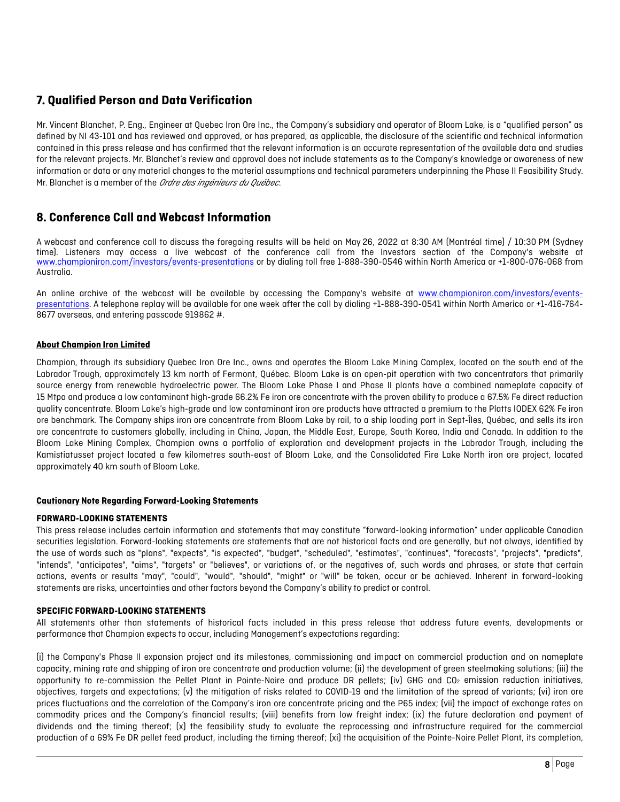# **7. Qualified Person and Data Verification**

Mr. Vincent Blanchet, P. Eng., Engineer at Quebec Iron Ore Inc., the Company's subsidiary and operator of Bloom Lake, is a "qualified person" as defined by NI 43-101 and has reviewed and approved, or has prepared, as applicable, the disclosure of the scientific and technical information contained in this press release and has confirmed that the relevant information is an accurate representation of the available data and studies for the relevant projects. Mr. Blanchet's review and approval does not include statements as to the Company's knowledge or awareness of new information or data or any material changes to the material assumptions and technical parameters underpinning the Phase II Feasibility Study. Mr. Blanchet is a member of the *Ordre des ingénieurs du Québec*.

# **8. Conference Call and Webcast Information**

A webcast and conference call to discuss the foregoing results will be held on May 26, 2022 at 8:30 AM (Montréal time) / 10:30 PM (Sydney time). Listeners may access a live webcast of the conference call from the Investors section of the Company's website at [www.championiron.com/investors/events-presentations](https://www.championiron.com/investors/events-presentations/) or by dialing toll free 1-888-390-0546 within North America or +1-800-076-068 from Australia.

An online archive of the webcast will be available by accessing the Company's website at [www.championiron.com/investors/events](https://www.championiron.com/investors/events-presentations/)[presentations.](https://www.championiron.com/investors/events-presentations/) A telephone replay will be available for one week after the call by dialing +1-888-390-0541 within North America or +1-416-764- 8677 overseas, and entering passcode 919862 #.

#### **About Champion Iron Limited**

Champion, through its subsidiary Quebec Iron Ore Inc., owns and operates the Bloom Lake Mining Complex, located on the south end of the Labrador Trough, approximately 13 km north of Fermont, Québec. Bloom Lake is an open-pit operation with two concentrators that primarily source energy from renewable hydroelectric power. The Bloom Lake Phase I and Phase II plants have a combined nameplate capacity of 15 Mtpa and produce a low contaminant high-grade 66.2% Fe iron ore concentrate with the proven ability to produce a 67.5% Fe direct reduction quality concentrate. Bloom Lake's high-grade and low contaminant iron ore products have attracted a premium to the Platts IODEX 62% Fe iron ore benchmark. The Company ships iron ore concentrate from Bloom Lake by rail, to a ship loading port in Sept-Îles, Québec, and sells its iron ore concentrate to customers globally, including in China, Japan, the Middle East, Europe, South Korea, India and Canada. In addition to the Bloom Lake Mining Complex, Champion owns a portfolio of exploration and development projects in the Labrador Trough, including the Kamistiatusset project located a few kilometres south-east of Bloom Lake, and the Consolidated Fire Lake North iron ore project, located approximately 40 km south of Bloom Lake.

#### **Cautionary Note Regarding Forward-Looking Statements**

#### **FORWARD-LOOKING STATEMENTS**

This press release includes certain information and statements that may constitute "forward-looking information" under applicable Canadian securities legislation. Forward-looking statements are statements that are not historical facts and are generally, but not always, identified by the use of words such as "plans", "expects", "is expected", "budget", "scheduled", "estimates", "continues", "forecasts", "projects", "predicts", "intends", "anticipates", "aims", "targets" or "believes", or variations of, or the negatives of, such words and phrases, or state that certain actions, events or results "may", "could", "would", "should", "might" or "will" be taken, occur or be achieved. Inherent in forward-looking statements are risks, uncertainties and other factors beyond the Company's ability to predict or control.

#### **SPECIFIC FORWARD-LOOKING STATEMENTS**

All statements other than statements of historical facts included in this press release that address future events, developments or performance that Champion expects to occur, including Management's expectations regarding:

(i) the Company's Phase II expansion project and its milestones, commissioning and impact on commercial production and on nameplate capacity, mining rate and shipping of iron ore concentrate and production volume; (ii) the development of green steelmaking solutions; (iii) the opportunity to re-commission the Pellet Plant in Pointe-Noire and produce DR pellets; (iv) GHG and CO2 emission reduction initiatives, objectives, targets and expectations; (v) the mitigation of risks related to COVID-19 and the limitation of the spread of variants; (vi) iron ore prices fluctuations and the correlation of the Company's iron ore concentrate pricing and the P65 index; (vii) the impact of exchange rates on commodity prices and the Company's financial results; (viii) benefits from low freight index; (ix) the future declaration and payment of dividends and the timing thereof; (x) the feasibility study to evaluate the reprocessing and infrastructure required for the commercial production of a 69% Fe DR pellet feed product, including the timing thereof; (xi) the acquisition of the Pointe-Noire Pellet Plant, its completion,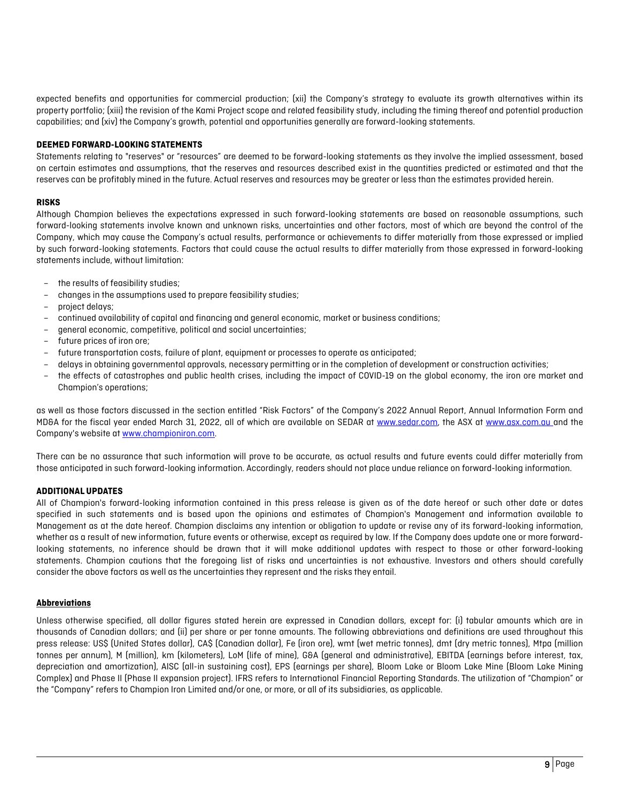expected benefits and opportunities for commercial production; (xii) the Company's strategy to evaluate its growth alternatives within its property portfolio; (xiii) the revision of the Kami Project scope and related feasibility study, including the timing thereof and potential production capabilities; and (xiv) the Company's growth, potential and opportunities generally are forward-looking statements.

#### **DEEMED FORWARD-LOOKING STATEMENTS**

Statements relating to "reserves" or "resources" are deemed to be forward-looking statements as they involve the implied assessment, based on certain estimates and assumptions, that the reserves and resources described exist in the quantities predicted or estimated and that the reserves can be profitably mined in the future. Actual reserves and resources may be greater or less than the estimates provided herein.

#### **RISKS**

Although Champion believes the expectations expressed in such forward-looking statements are based on reasonable assumptions, such forward-looking statements involve known and unknown risks, uncertainties and other factors, most of which are beyond the control of the Company, which may cause the Company's actual results, performance or achievements to differ materially from those expressed or implied by such forward-looking statements. Factors that could cause the actual results to differ materially from those expressed in forward-looking statements include, without limitation:

- the results of feasibility studies;
- changes in the assumptions used to prepare feasibility studies;
- project delays;
- continued availability of capital and financing and general economic, market or business conditions;
- general economic, competitive, political and social uncertainties;
- future prices of iron ore;
- future transportation costs, failure of plant, equipment or processes to operate as anticipated;
- delays in obtaining governmental approvals, necessary permitting or in the completion of development or construction activities;
- the effects of catastrophes and public health crises, including the impact of COVID-19 on the global economy, the iron ore market and Champion's operations;

as well as those factors discussed in the section entitled "Risk Factors" of the Company's 2022 Annual Report, Annual Information Form and MD&A for the fiscal year ended March 31, 2022, all of which are available on SEDAR at [www.sedar.com,](http://www.sedar.com/) the ASX at [www.asx.com.au](http://www.asx.com.au/) and the Company's website a[t www.championiron.com.](http://www.championiron.com/)

There can be no assurance that such information will prove to be accurate, as actual results and future events could differ materially from those anticipated in such forward-looking information. Accordingly, readers should not place undue reliance on forward-looking information.

#### **ADDITIONAL UPDATES**

All of Champion's forward-looking information contained in this press release is given as of the date hereof or such other date or dates specified in such statements and is based upon the opinions and estimates of Champion's Management and information available to Management as at the date hereof. Champion disclaims any intention or obligation to update or revise any of its forward-looking information, whether as a result of new information, future events or otherwise, except as required by law. If the Company does update one or more forwardlooking statements, no inference should be drawn that it will make additional updates with respect to those or other forward-looking statements. Champion cautions that the foregoing list of risks and uncertainties is not exhaustive. Investors and others should carefully consider the above factors as well as the uncertainties they represent and the risks they entail.

#### **Abbreviations**

Unless otherwise specified, all dollar figures stated herein are expressed in Canadian dollars, except for: (i) tabular amounts which are in thousands of Canadian dollars; and (ii) per share or per tonne amounts. The following abbreviations and definitions are used throughout this press release: US\$ (United States dollar), CA\$ (Canadian dollar), Fe (iron ore), wmt (wet metric tonnes), dmt (dry metric tonnes), Mtpa (million tonnes per annum), M (million), km (kilometers), LoM (life of mine), G&A (general and administrative), EBITDA (earnings before interest, tax, depreciation and amortization), AISC (all-in sustaining cost), EPS (earnings per share), Bloom Lake or Bloom Lake Mine (Bloom Lake Mining Complex) and Phase II (Phase II expansion project). IFRS refers to International Financial Reporting Standards. The utilization of "Champion" or the "Company" refers to Champion Iron Limited and/or one, or more, or all of its subsidiaries, as applicable.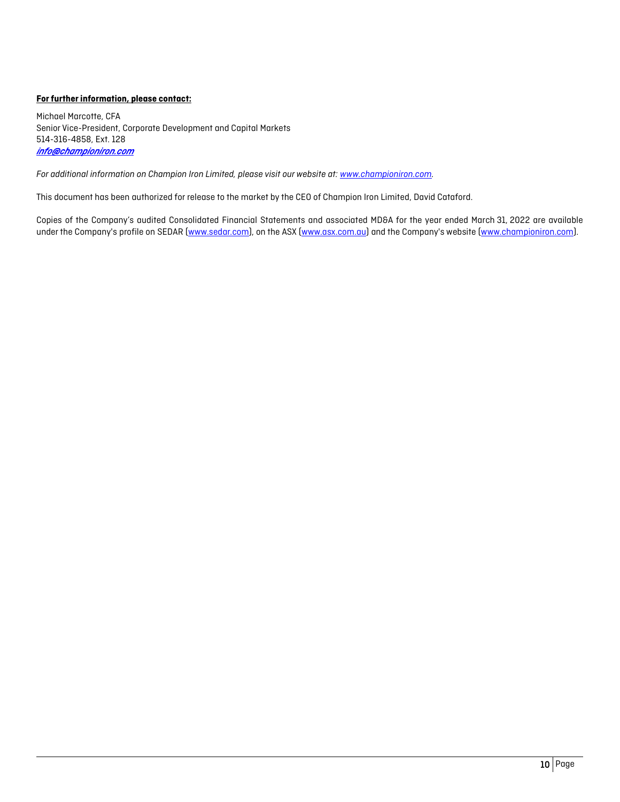#### **For further information, please contact:**

Michael Marcotte, CFA Senior Vice-President, Corporate Development and Capital Markets 514-316-4858, Ext. 128 *info@championiron.com* 

*For additional information on Champion Iron Limited, please visit our website at: [www.championiron.com.](http://www.championiron.com/)* 

This document has been authorized for release to the market by the CEO of Champion Iron Limited, David Cataford.

Copies of the Company's audited Consolidated Financial Statements and associated MD&A for the year ended March 31, 2022 are available under the Company's profile on SEDAR [\(www.sedar.com\)](http://www.sedar.com/), on the ASX [\(www.asx.com.au\)](http://www.asx.com.au/) and the Company's website [\(www.championiron.com\)](http://www.championiron.com/).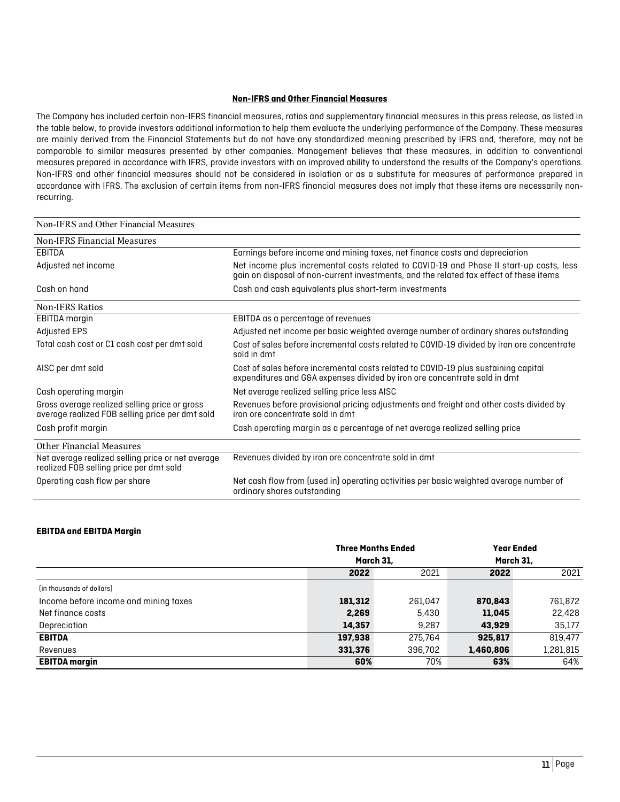#### **Non-IFRS and Other Financial Measures**

The Company has included certain non-IFRS financial measures, ratios and supplementary financial measures in this press release, as listed in the table below, to provide investors additional information to help them evaluate the underlying performance of the Company. These measures are mainly derived from the Financial Statements but do not have any standardized meaning prescribed by IFRS and, therefore, may not be comparable to similar measures presented by other companies. Management believes that these measures, in addition to conventional measures prepared in accordance with IFRS, provide investors with an improved ability to understand the results of the Company's operations. Non-IFRS and other financial measures should not be considered in isolation or as a substitute for measures of performance prepared in accordance with IFRS. The exclusion of certain items from non-IFRS financial measures does not imply that these items are necessarily nonrecurring.

#### Non-IFRS and Other Financial Measures Non-IFRS Financial Measures Earnings before income and mining taxes, net finance costs and depreciation Adjusted net income Net income plus incremental costs related to COVID-19 and Phase II start-up costs, less gain on disposal of non-current investments, and the related tax effect of these items Cash on hand Cash and cash equivalents plus short-term investments Non-IFRS Ratios<br>EBITDA margin EBITDA as a percentage of revenues Adjusted EPS Adjusted net income per basic weighted average number of ordinary shares outstanding Total cash cost or C1 cash cost per dmt sold Cost of sales before incremental costs related to COVID-19 divided by iron ore concentrate sold in dmt AISC per dmt sold Cost of sales before incremental costs related to COVID-19 plus sustaining capital expenditures and G&A expenses divided by iron ore concentrate sold in dmt Cash operating margin **Net average realized selling price less AISC** Gross average realized selling price or gross average realized FOB selling price per dmt sold Revenues before provisional pricing adjustments and freight and other costs divided by iron ore concentrate sold in dmt Cash profit margin Cash operating margin as a percentage of net average realized selling price Other Financial Measures Net average realized selling price or net average realized FOB selling price per dmt sold Revenues divided by iron ore concentrate sold in dmt Operating cash flow per share Net cash flow from (used in) operating activities per basic weighted average number of ordinary shares outstanding

#### **EBITDA and EBITDA Margin**

|                                       | <b>Three Months Ended</b> |         |           | <b>Year Ended</b> |
|---------------------------------------|---------------------------|---------|-----------|-------------------|
|                                       | March 31,                 |         |           | March 31,         |
|                                       | 2022                      | 2021    | 2022      | 2021              |
| (in thousands of dollars)             |                           |         |           |                   |
| Income before income and mining taxes | 181,312                   | 261.047 | 870,843   | 761,872           |
| Net finance costs                     | 2,269                     | 5,430   | 11,045    | 22,428            |
| Depreciation                          | 14,357                    | 9.287   | 43,929    | 35,177            |
| <b>EBITDA</b>                         | 197,938                   | 275.764 | 925,817   | 819,477           |
| Revenues                              | 331,376                   | 396.702 | 1,460,806 | 1,281,815         |
| <b>EBITDA</b> margin                  | 60%                       | 70%     | 63%       | 64%               |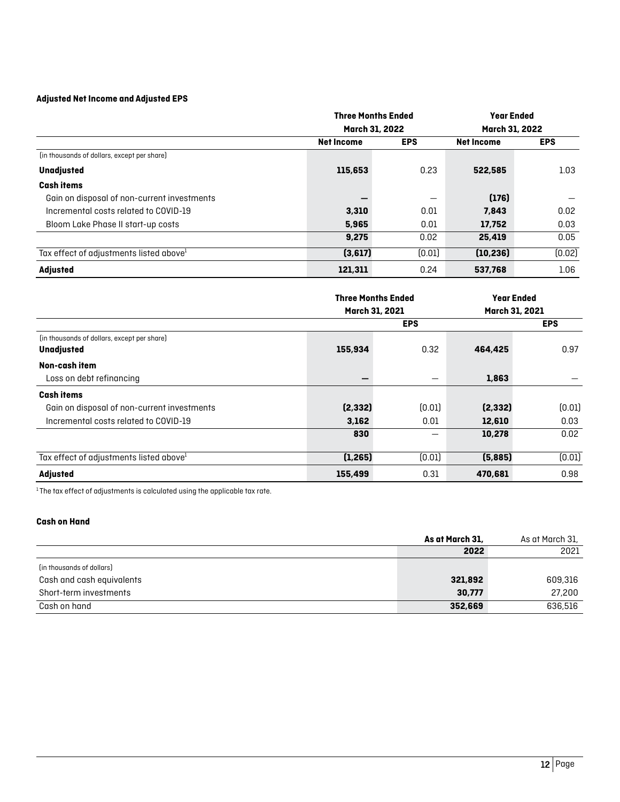### **Adjusted Net Income and Adjusted EPS**

|                                                     |                   | <b>Three Months Ended</b> |                   | <b>Year Ended</b> |
|-----------------------------------------------------|-------------------|---------------------------|-------------------|-------------------|
|                                                     | March 31, 2022    |                           | March 31, 2022    |                   |
|                                                     | <b>Net Income</b> | <b>EPS</b>                | <b>Net Income</b> | <b>EPS</b>        |
| (in thousands of dollars, except per share)         |                   |                           |                   |                   |
| Unadjusted                                          | 115,653           | 0.23                      | 522,585           | 1.03              |
| <b>Cash items</b>                                   |                   |                           |                   |                   |
| Gain on disposal of non-current investments         |                   | —                         | (176)             |                   |
| Incremental costs related to COVID-19               | 3,310             | 0.01                      | 7,843             | 0.02              |
| Bloom Lake Phase II start-up costs                  | 5,965             | 0.01                      | 17,752            | 0.03              |
|                                                     | 9,275             | 0.02                      | 25,419            | 0.05              |
| Tax effect of adjustments listed above <sup>1</sup> | (3,617)           | [0.01]                    | (10, 236)         | (0.02)            |
| <b>Adjusted</b>                                     | 121,311           | 0.24                      | 537,768           | 1.06              |

|                                                     | <b>Three Months Ended</b><br>March 31, 2021 |            | <b>Year Ended</b><br>March 31, 2021 |            |
|-----------------------------------------------------|---------------------------------------------|------------|-------------------------------------|------------|
|                                                     |                                             | <b>EPS</b> |                                     | <b>EPS</b> |
| (in thousands of dollars, except per share)         |                                             |            |                                     |            |
| Unadjusted                                          | 155,934                                     | 0.32       | 464,425                             | 0.97       |
| Non-cash item                                       |                                             |            |                                     |            |
| Loss on debt refinancing                            |                                             |            | 1,863                               |            |
| <b>Cash items</b>                                   |                                             |            |                                     |            |
| Gain on disposal of non-current investments         | (2, 332)                                    | [0.01]     | (2, 332)                            | [0.01]     |
| Incremental costs related to COVID-19               | 3,162                                       | 0.01       | 12,610                              | 0.03       |
|                                                     | 830                                         |            | 10,278                              | 0.02       |
| Tax effect of adjustments listed above <sup>1</sup> | (1, 265)                                    | [0.01]     | (5,885)                             | (0.01)     |
| <b>Adjusted</b>                                     | 155,499                                     | 0.31       | 470,681                             | 0.98       |

 $1$ The tax effect of adjustments is calculated using the applicable tax rate.

#### **Cash on Hand**

|                           | As at March 31, | As at March 31, |
|---------------------------|-----------------|-----------------|
|                           | 2022            | 2021            |
| (in thousands of dollars) |                 |                 |
| Cash and cash equivalents | 321,892         | 609,316         |
| Short-term investments    | 30,777          | 27,200          |
| Cash on hand              | 352,669         | 636,516         |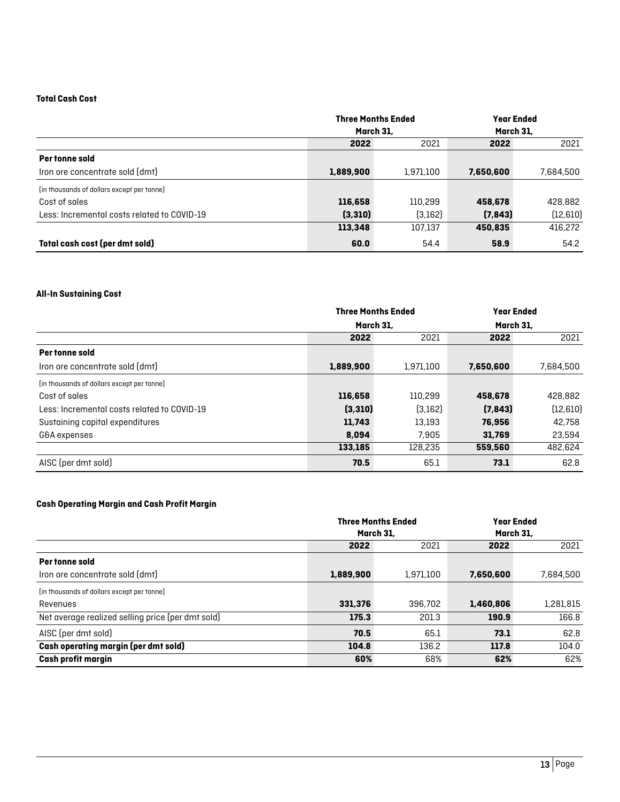#### **Total Cash Cost**

|                                             | <b>Three Months Ended</b><br>March 31, |           | <b>Year Ended</b><br>March 31, |           |
|---------------------------------------------|----------------------------------------|-----------|--------------------------------|-----------|
|                                             | 2022                                   | 2021      | 2022                           | 2021      |
| Per tonne sold                              |                                        |           |                                |           |
| Iron ore concentrate sold (dmt)             | 1,889,900                              | 1,971,100 | 7,650,600                      | 7,684,500 |
| (in thousands of dollars except per tonne)  |                                        |           |                                |           |
| Cost of sales                               | 116,658                                | 110.299   | 458,678                        | 428,882   |
| Less: Incremental costs related to COVID-19 | (3, 310)                               | (3,162)   | (7, 843)                       | (12, 610) |
|                                             | 113,348                                | 107.137   | 450,835                        | 416,272   |
| Total cash cost (per dmt sold)              | 60.0                                   | 54.4      | 58.9                           | 54.2      |

#### **All-In Sustaining Cost**

|                                             | <b>Three Months Ended</b> |           | <b>Year Ended</b> |           |
|---------------------------------------------|---------------------------|-----------|-------------------|-----------|
|                                             | March 31,                 |           | March 31.         |           |
|                                             | 2022                      | 2021      | 2022              | 2021      |
| Per tonne sold                              |                           |           |                   |           |
| Iron ore concentrate sold (dmt)             | 1,889,900                 | 1,971,100 | 7,650,600         | 7,684,500 |
| (in thousands of dollars except per tonne)  |                           |           |                   |           |
| Cost of sales                               | 116,658                   | 110.299   | 458,678           | 428,882   |
| Less: Incremental costs related to COVID-19 | (3,310)                   | (3,162)   | (7, 843)          | (12, 610) |
| Sustaining capital expenditures             | 11,743                    | 13,193    | 76,956            | 42.758    |
| G&A expenses                                | 8,094                     | 7.905     | 31,769            | 23,594    |
|                                             | 133,185                   | 128.235   | 559,560           | 482,624   |
| AISC (per dmt sold)                         | 70.5                      | 65.1      | 73.1              | 62.8      |

### **Cash Operating Margin and Cash Profit Margin**

|                                                   | <b>Three Months Ended</b> |           |           | <b>Year Ended</b> |
|---------------------------------------------------|---------------------------|-----------|-----------|-------------------|
|                                                   |                           | March 31, | March 31, |                   |
|                                                   | 2022                      | 2021      | 2022      | 2021              |
| Per tonne sold                                    |                           |           |           |                   |
| Iron ore concentrate sold (dmt)                   | 1,889,900                 | 1,971,100 | 7,650,600 | 7,684,500         |
| (in thousands of dollars except per tonne)        |                           |           |           |                   |
| Revenues                                          | 331,376                   | 396,702   | 1,460,806 | 1,281,815         |
| Net average realized selling price (per dmt sold) | 175.3                     | 201.3     | 190.9     | 166.8             |
| AISC (per dmt sold)                               | 70.5                      | 65.1      | 73.1      | 62.8              |
| <b>Cash operating margin (per dmt sold)</b>       | 104.8                     | 136.2     | 117.8     | 104.0             |
| <b>Cash profit margin</b>                         | 60%                       | 68%       | 62%       | 62%               |